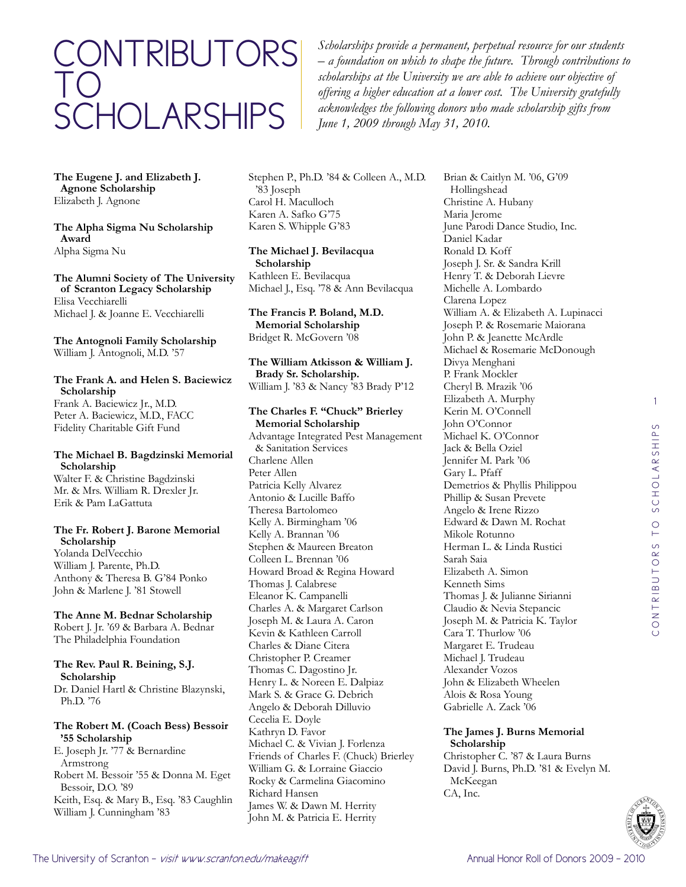# contributors to **SCHOLARSHIPS**

*Scholarships provide a permanent, perpetual resource for our students – a foundation on which to shape the future. Through contributions to scholarships at the University we are able to achieve our objective of offering a higher education at a lower cost. The University gratefully acknowledges the following donors who made scholarship gifts from June 1, 2009 through May 31, 2010.*

**The Eugene J. and Elizabeth J. Agnone Scholarship** Elizabeth J. Agnone

#### **The Alpha Sigma Nu Scholarship Award** Alpha Sigma Nu

**The Alumni Society of The University of Scranton Legacy Scholarship** Elisa Vecchiarelli Michael J. & Joanne E. Vecchiarelli

#### **The Antognoli Family Scholarship** William J. Antognoli, M.D. '57

#### **The Frank A. and Helen S. Baciewicz Scholarship**

Frank A. Baciewicz Jr., M.D. Peter A. Baciewicz, M.D., FACC Fidelity Charitable Gift Fund

#### **The Michael B. Bagdzinski Memorial Scholarship**

Walter F. & Christine Bagdzinski Mr. & Mrs. William R. Drexler Jr. Erik & Pam LaGattuta

#### **The Fr. Robert J. Barone Memorial Scholarship**

Yolanda DelVecchio William J. Parente, Ph.D. Anthony & Theresa B. G'84 Ponko John & Marlene J. '81 Stowell

#### **The Anne M. Bednar Scholarship** Robert J. Jr. '69 & Barbara A. Bednar The Philadelphia Foundation

**The Rev. Paul R. Beining, S.J. Scholarship** Dr. Daniel Hartl & Christine Blazynski, Ph.D. '76

# **The Robert M. (Coach Bess) Bessoir '55 Scholarship**

E. Joseph Jr. '77 & Bernardine Armstrong Robert M. Bessoir '55 & Donna M. Eget Bessoir, D.O. '89 Keith, Esq. & Mary B., Esq. '83 Caughlin William J. Cunningham '83

Stephen P., Ph.D. '84 & Colleen A., M.D. '83 Joseph Carol H. Maculloch Karen A. Safko G'75 Karen S. Whipple G'83

#### **The Michael J. Bevilacqua Scholarship** Kathleen E. Bevilacqua Michael J., Esq. '78 & Ann Bevilacqua

**The Francis P. Boland, M.D. Memorial Scholarship** Bridget R. McGovern '08

#### **The William Atkisson & William J. Brady Sr. Scholarship.** William J. '83 & Nancy '83 Brady P'12

**The Charles F. "Chuck" Brierley Memorial Scholarship** Advantage Integrated Pest Management & Sanitation Services Charlene Allen Peter Allen Patricia Kelly Alvarez Antonio & Lucille Baffo Theresa Bartolomeo Kelly A. Birmingham '06 Kelly A. Brannan '06 Stephen & Maureen Breaton Colleen L. Brennan '06 Howard Broad & Regina Howard Thomas J. Calabrese Eleanor K. Campanelli Charles A. & Margaret Carlson Joseph M. & Laura A. Caron Kevin & Kathleen Carroll Charles & Diane Citera Christopher P. Creamer Thomas C. Dagostino Jr. Henry L. & Noreen E. Dalpiaz Mark S. & Grace G. Debrich Angelo & Deborah Dilluvio Cecelia E. Doyle Kathryn D. Favor Michael C. & Vivian J. Forlenza Friends of Charles F. (Chuck) Brierley William G. & Lorraine Giaccio Rocky & Carmelina Giacomino Richard Hansen James W. & Dawn M. Herrity John M. & Patricia E. Herrity

Brian & Caitlyn M. '06, G'09 Hollingshead Christine A. Hubany Maria Jerome June Parodi Dance Studio, Inc. Daniel Kadar Ronald D. Koff Joseph J. Sr. & Sandra Krill Henry T. & Deborah Lievre Michelle A. Lombardo Clarena Lopez William A. & Elizabeth A. Lupinacci Joseph P. & Rosemarie Maiorana John P. & Jeanette McArdle Michael & Rosemarie McDonough Divya Menghani P. Frank Mockler Cheryl B. Mrazik '06 Elizabeth A. Murphy Kerin M. O'Connell John O'Connor Michael K. O'Connor Jack & Bella Oziel Jennifer M. Park '06 Gary L. Pfaff Demetrios & Phyllis Philippou Phillip & Susan Prevete Angelo & Irene Rizzo Edward & Dawn M. Rochat Mikole Rotunno Herman L. & Linda Rustici Sarah Saia Elizabeth A. Simon Kenneth Sims Thomas J. & Julianne Sirianni Claudio & Nevia Stepancic Joseph M. & Patricia K. Taylor Cara T. Thurlow '06 Margaret E. Trudeau Michael J. Trudeau Alexander Vozos John & Elizabeth Wheelen Alois & Rosa Young Gabrielle A. Zack '06

#### **The James J. Burns Memorial Scholarship**

Christopher C. '87 & Laura Burns David J. Burns, Ph.D. '81 & Evelyn M. McKeegan CA, Inc.



1

 $\circ$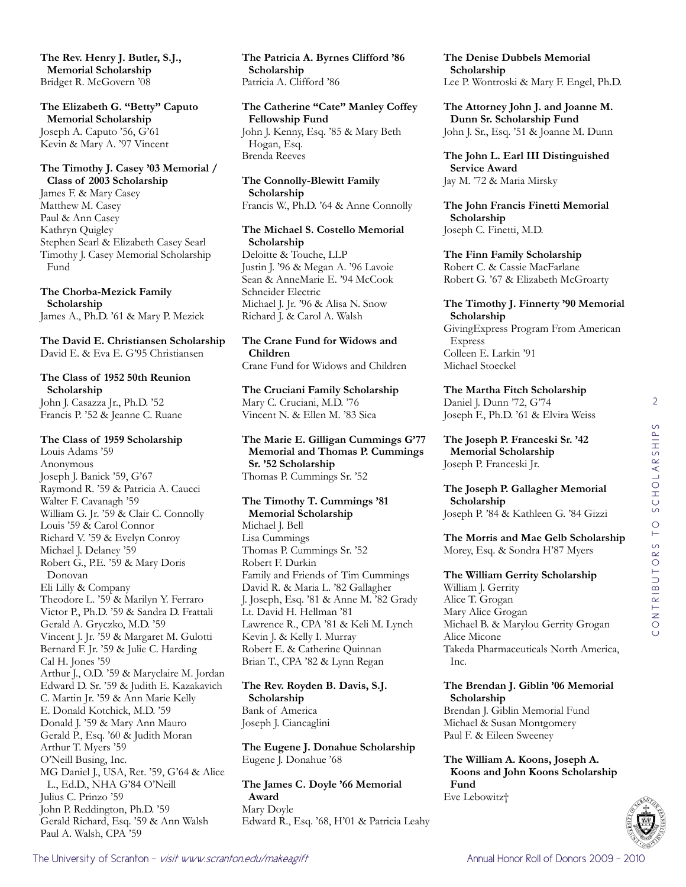**The Rev. Henry J. Butler, S.J., Memorial Scholarship** Bridget R. McGovern '08

**The Elizabeth G. "Betty" Caputo Memorial Scholarship** Joseph A. Caputo '56, G'61 Kevin & Mary A. '97 Vincent

#### **The Timothy J. Casey '03 Memorial / Class of 2003 Scholarship**

James F. & Mary Casey Matthew M. Casey Paul & Ann Casey Kathryn Quigley Stephen Searl & Elizabeth Casey Searl Timothy J. Casey Memorial Scholarship Fund

**The Chorba-Mezick Family Scholarship** James A., Ph.D. '61 & Mary P. Mezick

**The David E. Christiansen Scholarship** David E. & Eva E. G'95 Christiansen

# **The Class of 1952 50th Reunion Scholarship**

John J. Casazza Jr., Ph.D. '52 Francis P. '52 & Jeanne C. Ruane

#### **The Class of 1959 Scholarship**

Louis Adams '59 Anonymous Joseph J. Banick '59, G'67 Raymond R. '59 & Patricia A. Caucci Walter F. Cavanagh '59 William G. Jr. '59 & Clair C. Connolly Louis '59 & Carol Connor Richard V. '59 & Evelyn Conroy Michael J. Delaney '59 Robert G., P.E. '59 & Mary Doris Donovan Eli Lilly & Company Theodore L. '59 & Marilyn Y. Ferraro Victor P., Ph.D. '59 & Sandra D. Frattali Gerald A. Gryczko, M.D. '59 Vincent J. Jr. '59 & Margaret M. Gulotti Bernard F. Jr. '59 & Julie C. Harding Cal H. Jones '59 Arthur J., O.D. '59 & Maryclaire M. Jordan Edward D. Sr. '59 & Judith E. Kazakavich C. Martin Jr. '59 & Ann Marie Kelly E. Donald Kotchick, M.D. '59 Donald J. '59 & Mary Ann Mauro Gerald P., Esq. '60 & Judith Moran Arthur T. Myers '59 O'Neill Busing, Inc. MG Daniel J., USA, Ret. '59, G'64 & Alice L., Ed.D., NHA G'84 O'Neill Julius C. Prinzo '59 John P. Reddington, Ph.D. '59 Gerald Richard, Esq. '59 & Ann Walsh Paul A. Walsh, CPA '59

**The Patricia A. Byrnes Clifford '86 Scholarship** Patricia A. Clifford '86

**The Catherine "Cate" Manley Coffey Fellowship Fund** John J. Kenny, Esq. '85 & Mary Beth Hogan, Esq. Brenda Reeves

**The Connolly-Blewitt Family Scholarship** Francis W., Ph.D. '64 & Anne Connolly

# **The Michael S. Costello Memorial Scholarship**

Deloitte & Touche, LLP Justin J. '96 & Megan A. '96 Lavoie Sean & AnneMarie E. '94 McCook Schneider Electric Michael J. Jr. '96 & Alisa N. Snow Richard J. & Carol A. Walsh

## **The Crane Fund for Widows and Children**

Crane Fund for Widows and Children

**The Cruciani Family Scholarship** Mary C. Cruciani, M.D. '76 Vincent N. & Ellen M. '83 Sica

**The Marie E. Gilligan Cummings G'77 Memorial and Thomas P. Cummings Sr. '52 Scholarship** Thomas P. Cummings Sr. '52

# **The Timothy T. Cummings '81**

**Memorial Scholarship** Michael J. Bell Lisa Cummings Thomas P. Cummings Sr. '52 Robert F. Durkin Family and Friends of Tim Cummings David R. & Maria L. '82 Gallagher J. Joseph, Esq. '81 & Anne M. '82 Grady Lt. David H. Hellman '81 Lawrence R., CPA '81 & Keli M. Lynch Kevin J. & Kelly I. Murray Robert E. & Catherine Quinnan Brian T., CPA '82 & Lynn Regan

**The Rev. Royden B. Davis, S.J. Scholarship** Bank of America Joseph J. Ciancaglini

**The Eugene J. Donahue Scholarship** Eugene J. Donahue '68

**The James C. Doyle '66 Memorial Award** Mary Doyle Edward R., Esq. '68, H'01 & Patricia Leahy **The Denise Dubbels Memorial Scholarship** Lee P. Wontroski & Mary F. Engel, Ph.D.

**The Attorney John J. and Joanne M. Dunn Sr. Scholarship Fund** John J. Sr., Esq. '51 & Joanne M. Dunn

**The John L. Earl III Distinguished Service Award** Jay M. '72 & Maria Mirsky

**The John Francis Finetti Memorial Scholarship** Joseph C. Finetti, M.D.

**The Finn Family Scholarship** Robert C. & Cassie MacFarlane Robert G. '67 & Elizabeth McGroarty

#### **The Timothy J. Finnerty '90 Memorial Scholarship**

GivingExpress Program From American Express Colleen E. Larkin '91 Michael Stoeckel

**The Martha Fitch Scholarship** Daniel J. Dunn '72, G'74 Joseph F., Ph.D. '61 & Elvira Weiss

**The Joseph P. Franceski Sr. '42 Memorial Scholarship** Joseph P. Franceski Jr.

**The Joseph P. Gallagher Memorial Scholarship** Joseph P. '84 & Kathleen G. '84 Gizzi

**The Morris and Mae Gelb Scholarship** Morey, Esq. & Sondra H'87 Myers

**The William Gerrity Scholarship** William J. Gerrity Alice T. Grogan Mary Alice Grogan Michael B. & Marylou Gerrity Grogan Alice Micone Takeda Pharmaceuticals North America, Inc.

**The Brendan J. Giblin '06 Memorial Scholarship** Brendan J. Giblin Memorial Fund

Michael & Susan Montgomery Paul F. & Eileen Sweeney

**The William A. Koons, Joseph A. Koons and John Koons Scholarship Fund** Eve Lebowitz†

2

 $\circ$ 

contributors to scholarships

CONTRIBUTORS TO SCHOLARSHIP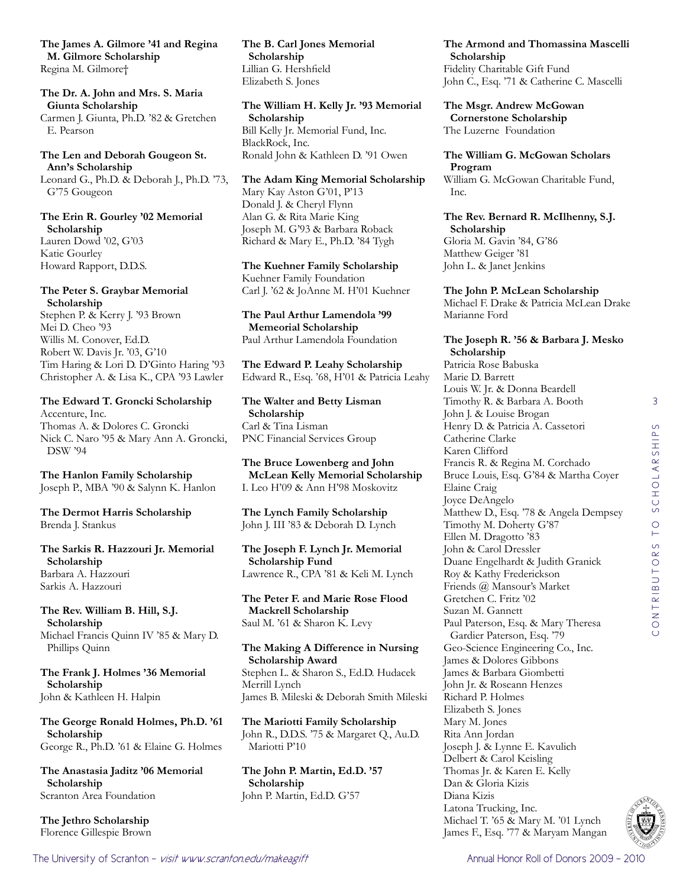**The James A. Gilmore '41 and Regina M. Gilmore Scholarship** Regina M. Gilmore†

**The Dr. A. John and Mrs. S. Maria Giunta Scholarship**

Carmen J. Giunta, Ph.D. '82 & Gretchen E. Pearson

**The Len and Deborah Gougeon St. Ann's Scholarship**

Leonard G., Ph.D. & Deborah J., Ph.D. '73, G'75 Gougeon

**The Erin R. Gourley '02 Memorial Scholarship** Lauren Dowd '02, G'03

Katie Gourley Howard Rapport, D.D.S.

#### **The Peter S. Graybar Memorial Scholarship**

Stephen P. & Kerry J. '93 Brown Mei D. Cheo '93 Willis M. Conover, Ed.D. Robert W. Davis Jr. '03, G'10 Tim Haring & Lori D. D'Ginto Haring '93 Christopher A. & Lisa K., CPA '93 Lawler

**The Edward T. Groncki Scholarship**

Accenture, Inc. Thomas A. & Dolores C. Groncki Nick C. Naro '95 & Mary Ann A. Groncki, DSW '94

**The Hanlon Family Scholarship** Joseph P., MBA '90 & Salynn K. Hanlon

**The Dermot Harris Scholarship** Brenda J. Stankus

**The Sarkis R. Hazzouri Jr. Memorial Scholarship** Barbara A. Hazzouri Sarkis A. Hazzouri

**The Rev. William B. Hill, S.J. Scholarship** Michael Francis Quinn IV '85 & Mary D. Phillips Quinn

**The Frank J. Holmes '36 Memorial Scholarship** John & Kathleen H. Halpin

**The George Ronald Holmes, Ph.D. '61 Scholarship** George R., Ph.D. '61 & Elaine G. Holmes

**The Anastasia Jaditz '06 Memorial Scholarship** Scranton Area Foundation

**The Jethro Scholarship** Florence Gillespie Brown **The B. Carl Jones Memorial Scholarship** Lillian G. Hershfield Elizabeth S. Jones

**The William H. Kelly Jr. '93 Memorial Scholarship** Bill Kelly Jr. Memorial Fund, Inc. BlackRock, Inc. Ronald John & Kathleen D. '91 Owen

**The Adam King Memorial Scholarship** Mary Kay Aston G'01, P'13 Donald J. & Cheryl Flynn Alan G. & Rita Marie King Joseph M. G'93 & Barbara Roback Richard & Mary E., Ph.D. '84 Tygh

**The Kuehner Family Scholarship** Kuehner Family Foundation Carl J. '62 & JoAnne M. H'01 Kuehner

**The Paul Arthur Lamendola '99 Memeorial Scholarship** Paul Arthur Lamendola Foundation

**The Edward P. Leahy Scholarship** Edward R., Esq. '68, H'01 & Patricia Leahy

**The Walter and Betty Lisman Scholarship** Carl & Tina Lisman PNC Financial Services Group

**The Bruce Lowenberg and John McLean Kelly Memorial Scholarship** I. Leo H'09 & Ann H'98 Moskovitz

**The Lynch Family Scholarship** John J. III '83 & Deborah D. Lynch

**The Joseph F. Lynch Jr. Memorial Scholarship Fund** Lawrence R., CPA '81 & Keli M. Lynch

**The Peter F. and Marie Rose Flood Mackrell Scholarship** Saul M. '61 & Sharon K. Levy

**The Making A Difference in Nursing Scholarship Award** Stephen L. & Sharon S., Ed.D. Hudacek Merrill Lynch James B. Mileski & Deborah Smith Mileski

**The Mariotti Family Scholarship** John R., D.D.S. '75 & Margaret Q., Au.D. Mariotti P'10

**The John P. Martin, Ed.D. '57 Scholarship** John P. Martin, Ed.D. G'57

**The Armond and Thomassina Mascelli Scholarship** Fidelity Charitable Gift Fund John C., Esq. '71 & Catherine C. Mascelli

**The Msgr. Andrew McGowan Cornerstone Scholarship** The Luzerne Foundation

**The William G. McGowan Scholars Program** William G. McGowan Charitable Fund,

Inc.

**The Rev. Bernard R. McIlhenny, S.J. Scholarship** Gloria M. Gavin '84, G'86 Matthew Geiger '81 John L. & Janet Jenkins

**The John P. McLean Scholarship**

Michael F. Drake & Patricia McLean Drake Marianne Ford

## **The Joseph R. '56 & Barbara J. Mesko Scholarship**

Patricia Rose Babuska Marie D. Barrett Louis W. Jr. & Donna Beardell Timothy R. & Barbara A. Booth John J. & Louise Brogan Henry D. & Patricia A. Cassetori Catherine Clarke Karen Clifford Francis R. & Regina M. Corchado Bruce Louis, Esq. G'84 & Martha Coyer Elaine Craig Joyce DeAngelo Matthew D., Esq. '78 & Angela Dempsey Timothy M. Doherty G'87 Ellen M. Dragotto '83 John & Carol Dressler Duane Engelhardt & Judith Granick Roy & Kathy Frederickson Friends @ Mansour's Market Gretchen C. Fritz '02 Suzan M. Gannett Paul Paterson, Esq. & Mary Theresa Gardier Paterson, Esq. '79 Geo-Science Engineering Co., Inc. James & Dolores Gibbons James & Barbara Giombetti John Jr. & Roseann Henzes Richard P. Holmes Elizabeth S. Jones Mary M. Jones Rita Ann Jordan Joseph J. & Lynne E. Kavulich Delbert & Carol Keisling Thomas Jr. & Karen E. Kelly Dan & Gloria Kizis Diana Kizis Latona Trucking, Inc. Michael T. '65 & Mary M. '01 Lynch James F., Esq. '77 & Maryam Mangan

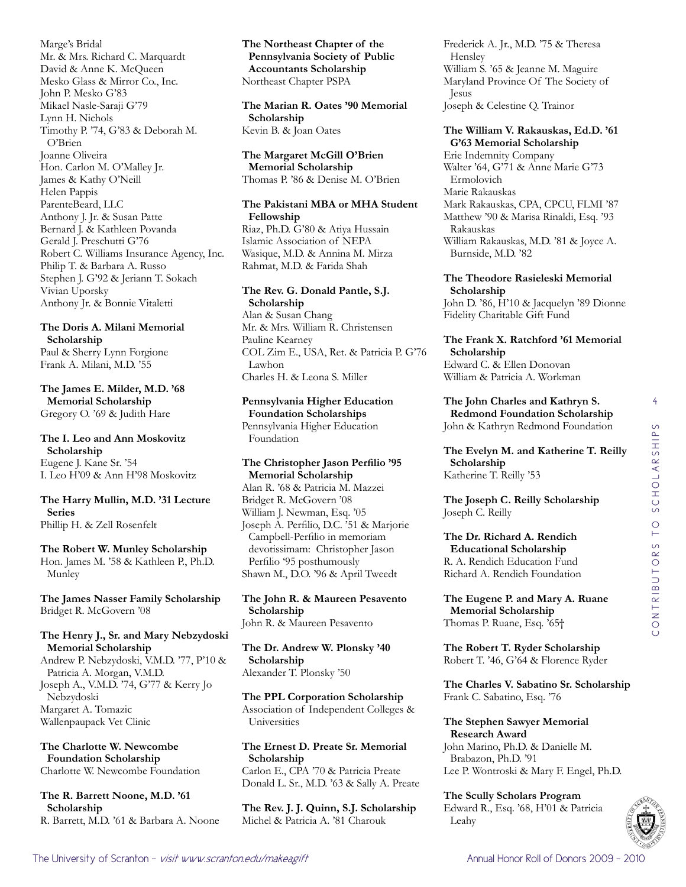Marge's Bridal Mr. & Mrs. Richard C. Marquardt David & Anne K. McQueen Mesko Glass & Mirror Co., Inc. John P. Mesko G'83 Mikael Nasle-Saraji G'79 Lynn H. Nichols Timothy P. '74, G'83 & Deborah M. O'Brien Joanne Oliveira Hon. Carlon M. O'Malley Jr. James & Kathy O'Neill Helen Pappis ParenteBeard, LLC Anthony J. Jr. & Susan Patte Bernard J. & Kathleen Povanda Gerald J. Preschutti G'76 Robert C. Williams Insurance Agency, Inc. Philip T. & Barbara A. Russo Stephen J. G'92 & Jeriann T. Sokach Vivian Uporsky Anthony Jr. & Bonnie Vitaletti

# **The Doris A. Milani Memorial Scholarship**

Paul & Sherry Lynn Forgione Frank A. Milani, M.D. '55

**The James E. Milder, M.D. '68 Memorial Scholarship** Gregory O. '69 & Judith Hare

#### **The I. Leo and Ann Moskovitz Scholarship** Eugene J. Kane Sr. '54 I. Leo H'09 & Ann H'98 Moskovitz

# **The Harry Mullin, M.D. '31 Lecture Series**

Phillip H. & Zell Rosenfelt

# **The Robert W. Munley Scholarship**

Hon. James M. '58 & Kathleen P., Ph.D. Munley

#### **The James Nasser Family Scholarship** Bridget R. McGovern '08

## **The Henry J., Sr. and Mary Nebzydoski Memorial Scholarship**

Andrew P. Nebzydoski, V.M.D. '77, P'10 & Patricia A. Morgan, V.M.D. Joseph A., V.M.D. '74, G'77 & Kerry Jo Nebzydoski Margaret A. Tomazic Wallenpaupack Vet Clinic

**The Charlotte W. Newcombe Foundation Scholarship** Charlotte W. Newcombe Foundation

**The R. Barrett Noone, M.D. '61 Scholarship** R. Barrett, M.D. '61 & Barbara A. Noone **The Northeast Chapter of the Pennsylvania Society of Public Accountants Scholarship** Northeast Chapter PSPA

**The Marian R. Oates '90 Memorial Scholarship** Kevin B. & Joan Oates

**The Margaret McGill O'Brien Memorial Scholarship** Thomas P. '86 & Denise M. O'Brien

## **The Pakistani MBA or MHA Student Fellowship**

Riaz, Ph.D. G'80 & Atiya Hussain Islamic Association of NEPA Wasique, M.D. & Annina M. Mirza Rahmat, M.D. & Farida Shah

# **The Rev. G. Donald Pantle, S.J. Scholarship**

Alan & Susan Chang Mr. & Mrs. William R. Christensen Pauline Kearney COL Zim E., USA, Ret. & Patricia P. G'76 Lawhon Charles H. & Leona S. Miller

# **Pennsylvania Higher Education Foundation Scholarships**

Pennsylvania Higher Education Foundation

## **The Christopher Jason Perfilio '95 Memorial Scholarship**

Alan R. '68 & Patricia M. Mazzei Bridget R. McGovern '08 William J. Newman, Esq. '05 Joseph A. Perfilio, D.C. '51 & Marjorie Campbell-Perfilio in memoriam devotissimam: Christopher Jason Perfilio '95 posthumously Shawn M., D.O. '96 & April Tweedt

#### **The John R. & Maureen Pesavento Scholarship** John R. & Maureen Pesavento

**The Dr. Andrew W. Plonsky '40 Scholarship** Alexander T. Plonsky '50

**The PPL Corporation Scholarship** Association of Independent Colleges & Universities

**The Ernest D. Preate Sr. Memorial Scholarship** Carlon E., CPA '70 & Patricia Preate Donald L. Sr., M.D. '63 & Sally A. Preate

**The Rev. J. J. Quinn, S.J. Scholarship** Michel & Patricia A. '81 Charouk

Frederick A. Jr., M.D. '75 & Theresa Hensley William S. '65 & Jeanne M. Maguire Maryland Province Of The Society of Jesus Joseph & Celestine Q. Trainor

#### **The William V. Rakauskas, Ed.D. '61 G'63 Memorial Scholarship**

Erie Indemnity Company Walter '64, G'71 & Anne Marie G'73 Ermolovich Marie Rakauskas Mark Rakauskas, CPA, CPCU, FLMI '87 Matthew '90 & Marisa Rinaldi, Esq. '93 Rakauskas William Rakauskas, M.D. '81 & Joyce A. Burnside, M.D. '82

#### **The Theodore Rasieleski Memorial Scholarship**

John D. '86, H'10 & Jacquelyn '89 Dionne Fidelity Charitable Gift Fund

**The Frank X. Ratchford '61 Memorial Scholarship** Edward C. & Ellen Donovan William & Patricia A. Workman

**The John Charles and Kathryn S. Redmond Foundation Scholarship** John & Kathryn Redmond Foundation

**The Evelyn M. and Katherine T. Reilly Scholarship** Katherine T. Reilly '53

**The Joseph C. Reilly Scholarship** Joseph C. Reilly

#### **The Dr. Richard A. Rendich Educational Scholarship** R. A. Rendich Education Fund Richard A. Rendich Foundation

**The Eugene P. and Mary A. Ruane Memorial Scholarship** Thomas P. Ruane, Esq. '65†

**The Robert T. Ryder Scholarship** Robert T. '46, G'64 & Florence Ryder

**The Charles V. Sabatino Sr. Scholarship** Frank C. Sabatino, Esq. '76

**The Stephen Sawyer Memorial Research Award** John Marino, Ph.D. & Danielle M. Brabazon, Ph.D. '91 Lee P. Wontroski & Mary F. Engel, Ph.D.

**The Scully Scholars Program** Edward R., Esq. '68, H'01 & Patricia Leahy



4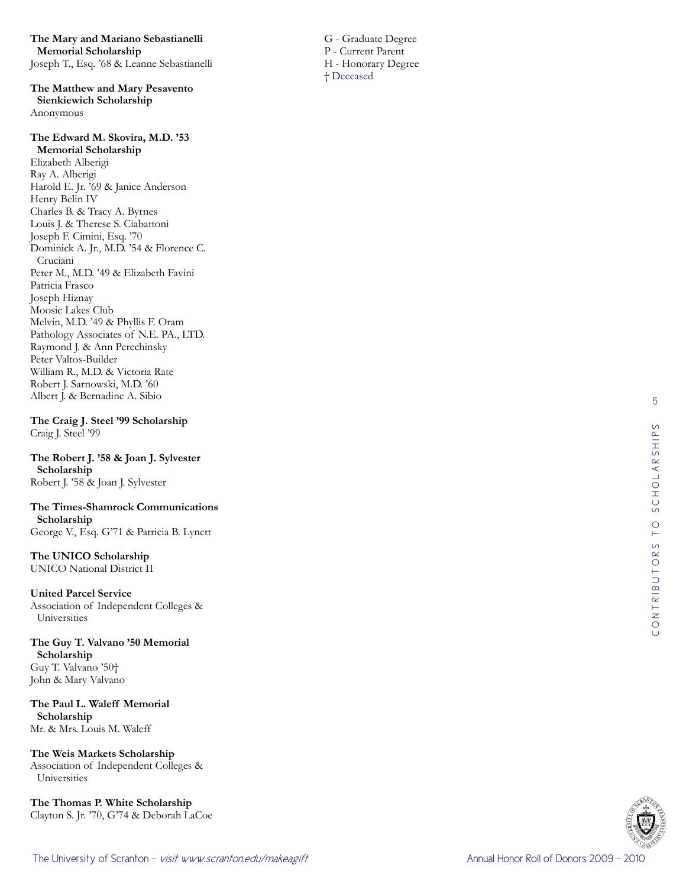**The Mary and Mariano Sebastianelli Memorial Scholarship** Joseph T., Esq. '68 & Leanne Sebastianelli

**The Matthew and Mary Pesavento Sienkiewich Scholarship** Anonymous

# **The Edward M. Skovira, M.D. '53 Memorial Scholarship**

Elizabeth Alberigi Ray A. Alberigi Harold E. Jr. '69 & Janice Anderson Henry Belin IV Charles B. & Tracy A. Byrnes Louis J. & Therese S. Ciabattoni Joseph F. Cimini, Esq. '70 Dominick A. Jr., M.D. '54 & Florence C. Cruciani Peter M., M.D. '49 & Elizabeth Favini Patricia Frasco Joseph Hiznay Moosic Lakes Club Melvin, M.D. '49 & Phyllis F. Oram Pathology Associates of N.E. PA., LTD. Raymond J. & Ann Perechinsky Peter Valtos-Builder William R., M.D. & Victoria Rate Robert J. Sarnowski, M.D. '60 Albert J. & Bernadine A. Sibio

**The Craig J. Steel '99 Scholarship** Craig J. Steel '99

**The Robert J. '58 & Joan J. Sylvester Scholarship** Robert J. '58 & Joan J. Sylvester

**The Times-Shamrock Communications Scholarship** George V., Esq. G'71 & Patricia B. Lynett

**The UNICO Scholarship** UNICO National District II

**United Parcel Service** Association of Independent Colleges & Universities

**The Guy T. Valvano '50 Memorial Scholarship** Guy T. Valvano '50† John & Mary Valvano

**The Paul L. Waleff Memorial Scholarship** Mr. & Mrs. Louis M. Waleff

**The Weis Markets Scholarship** Association of Independent Colleges & Universities

**The Thomas P. White Scholarship** Clayton S. Jr. '70, G'74 & Deborah LaCoe  G - Graduate Degree P - Current Parent H - Honorary Degree † Deceased

5